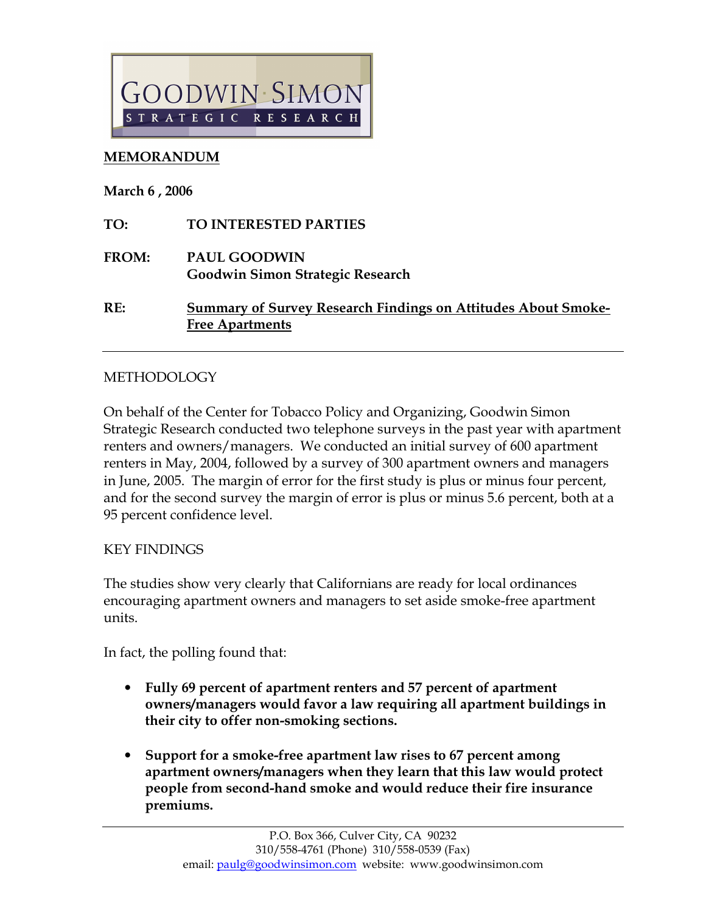

## MEMORANDUM

March 6 , 2006

| TO:   | <b>TO INTERESTED PARTIES</b>                                                                   |
|-------|------------------------------------------------------------------------------------------------|
| FROM: | <b>PAUL GOODWIN</b><br><b>Goodwin Simon Strategic Research</b>                                 |
| RE:   | <b>Summary of Survey Research Findings on Attitudes About Smoke-</b><br><b>Free Apartments</b> |

## METHODOLOGY

On behalf of the Center for Tobacco Policy and Organizing, Goodwin Simon Strategic Research conducted two telephone surveys in the past year with apartment renters and owners/managers. We conducted an initial survey of 600 apartment renters in May, 2004, followed by a survey of 300 apartment owners and managers in June, 2005. The margin of error for the first study is plus or minus four percent, and for the second survey the margin of error is plus or minus 5.6 percent, both at a 95 percent confidence level.

## KEY FINDINGS

The studies show very clearly that Californians are ready for local ordinances encouraging apartment owners and managers to set aside smoke-free apartment units.

In fact, the polling found that:

- Fully 69 percent of apartment renters and 57 percent of apartment owners/managers would favor a law requiring all apartment buildings in their city to offer non-smoking sections.
- Support for a smoke-free apartment law rises to 67 percent among apartment owners/managers when they learn that this law would protect people from second-hand smoke and would reduce their fire insurance premiums.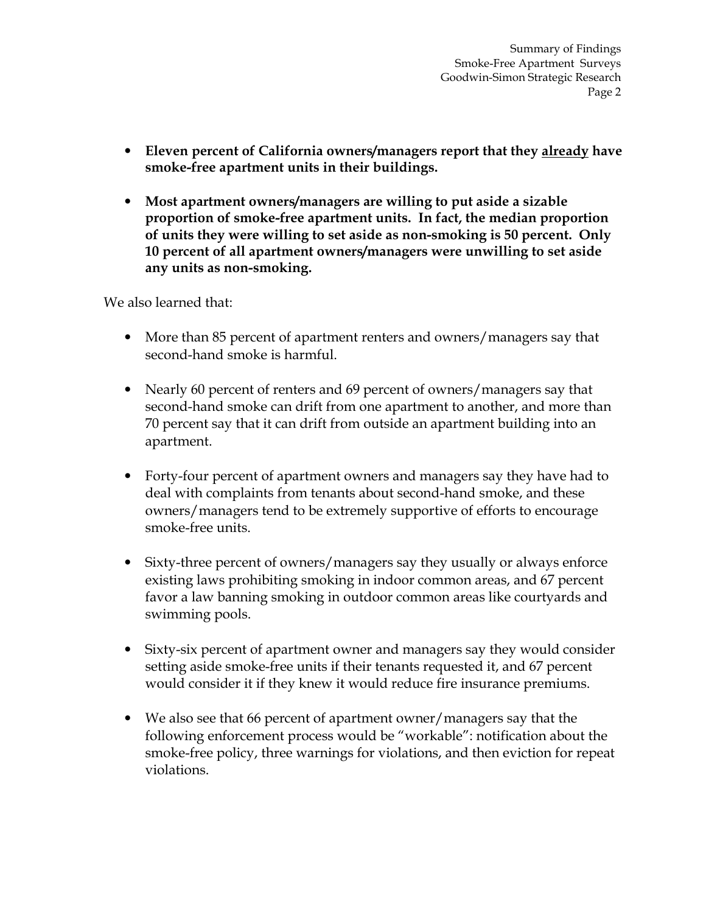Summary of Findings Smoke-Free Apartment Surveys Goodwin-Simon Strategic Research Page 2

- Eleven percent of California owners/managers report that they already have smoke-free apartment units in their buildings.
- Most apartment owners/managers are willing to put aside a sizable proportion of smoke-free apartment units. In fact, the median proportion of units they were willing to set aside as non-smoking is 50 percent. Only 10 percent of all apartment owners/managers were unwilling to set aside any units as non-smoking.

We also learned that:

- More than 85 percent of apartment renters and owners/managers say that second-hand smoke is harmful.
- Nearly 60 percent of renters and 69 percent of owners/managers say that second-hand smoke can drift from one apartment to another, and more than 70 percent say that it can drift from outside an apartment building into an apartment.
- Forty-four percent of apartment owners and managers say they have had to deal with complaints from tenants about second-hand smoke, and these owners/managers tend to be extremely supportive of efforts to encourage smoke-free units.
- Sixty-three percent of owners/managers say they usually or always enforce existing laws prohibiting smoking in indoor common areas, and 67 percent favor a law banning smoking in outdoor common areas like courtyards and swimming pools.
- Sixty-six percent of apartment owner and managers say they would consider setting aside smoke-free units if their tenants requested it, and 67 percent would consider it if they knew it would reduce fire insurance premiums.
- We also see that 66 percent of apartment owner/managers say that the following enforcement process would be "workable": notification about the smoke-free policy, three warnings for violations, and then eviction for repeat violations.